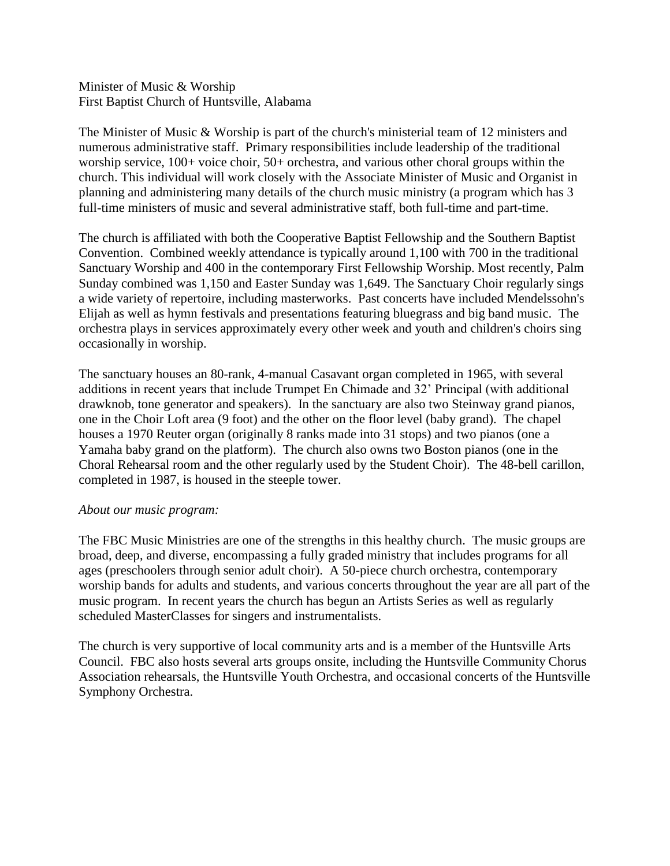Minister of Music & Worship First Baptist Church of Huntsville, Alabama

The Minister of Music & Worship is part of the church's ministerial team of 12 ministers and numerous administrative staff. Primary responsibilities include leadership of the traditional worship service, 100+ voice choir, 50+ orchestra, and various other choral groups within the church. This individual will work closely with the Associate Minister of Music and Organist in planning and administering many details of the church music ministry (a program which has 3 full-time ministers of music and several administrative staff, both full-time and part-time.

The church is affiliated with both the Cooperative Baptist Fellowship and the Southern Baptist Convention. Combined weekly attendance is typically around 1,100 with 700 in the traditional Sanctuary Worship and 400 in the contemporary First Fellowship Worship. Most recently, Palm Sunday combined was 1,150 and Easter Sunday was 1,649. The Sanctuary Choir regularly sings a wide variety of repertoire, including masterworks. Past concerts have included Mendelssohn's Elijah as well as hymn festivals and presentations featuring bluegrass and big band music. The orchestra plays in services approximately every other week and youth and children's choirs sing occasionally in worship.

The sanctuary houses an 80-rank, 4-manual Casavant organ completed in 1965, with several additions in recent years that include Trumpet En Chimade and 32' Principal (with additional drawknob, tone generator and speakers). In the sanctuary are also two Steinway grand pianos, one in the Choir Loft area (9 foot) and the other on the floor level (baby grand). The chapel houses a 1970 Reuter organ (originally 8 ranks made into 31 stops) and two pianos (one a Yamaha baby grand on the platform). The church also owns two Boston pianos (one in the Choral Rehearsal room and the other regularly used by the Student Choir). The 48-bell carillon, completed in 1987, is housed in the steeple tower.

## *About our music program:*

The FBC Music Ministries are one of the strengths in this healthy church. The music groups are broad, deep, and diverse, encompassing a fully graded ministry that includes programs for all ages (preschoolers through senior adult choir). A 50-piece church orchestra, contemporary worship bands for adults and students, and various concerts throughout the year are all part of the music program. In recent years the church has begun an Artists Series as well as regularly scheduled MasterClasses for singers and instrumentalists.

The church is very supportive of local community arts and is a member of the Huntsville Arts Council. FBC also hosts several arts groups onsite, including the Huntsville Community Chorus Association rehearsals, the Huntsville Youth Orchestra, and occasional concerts of the Huntsville Symphony Orchestra.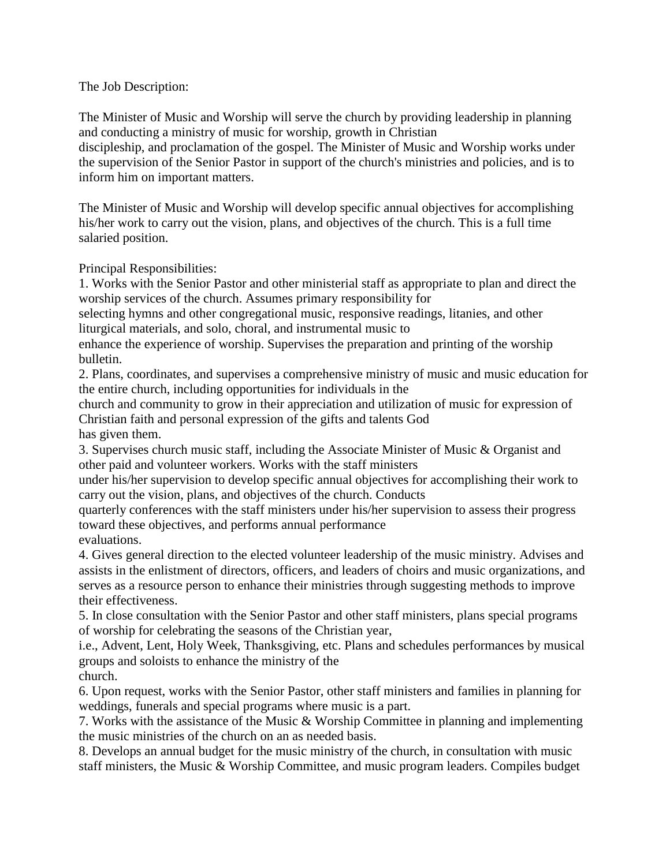## The Job Description:

The Minister of Music and Worship will serve the church by providing leadership in planning and conducting a ministry of music for worship, growth in Christian discipleship, and proclamation of the gospel. The Minister of Music and Worship works under the supervision of the Senior Pastor in support of the church's ministries and policies, and is to inform him on important matters.

The Minister of Music and Worship will develop specific annual objectives for accomplishing his/her work to carry out the vision, plans, and objectives of the church. This is a full time salaried position.

Principal Responsibilities:

1. Works with the Senior Pastor and other ministerial staff as appropriate to plan and direct the worship services of the church. Assumes primary responsibility for

selecting hymns and other congregational music, responsive readings, litanies, and other liturgical materials, and solo, choral, and instrumental music to

enhance the experience of worship. Supervises the preparation and printing of the worship bulletin.

2. Plans, coordinates, and supervises a comprehensive ministry of music and music education for the entire church, including opportunities for individuals in the

church and community to grow in their appreciation and utilization of music for expression of Christian faith and personal expression of the gifts and talents God has given them.

3. Supervises church music staff, including the Associate Minister of Music & Organist and other paid and volunteer workers. Works with the staff ministers

under his/her supervision to develop specific annual objectives for accomplishing their work to carry out the vision, plans, and objectives of the church. Conducts

quarterly conferences with the staff ministers under his/her supervision to assess their progress toward these objectives, and performs annual performance evaluations.

4. Gives general direction to the elected volunteer leadership of the music ministry. Advises and assists in the enlistment of directors, officers, and leaders of choirs and music organizations, and serves as a resource person to enhance their ministries through suggesting methods to improve their effectiveness.

5. In close consultation with the Senior Pastor and other staff ministers, plans special programs of worship for celebrating the seasons of the Christian year,

i.e., Advent, Lent, Holy Week, Thanksgiving, etc. Plans and schedules performances by musical groups and soloists to enhance the ministry of the church.

6. Upon request, works with the Senior Pastor, other staff ministers and families in planning for weddings, funerals and special programs where music is a part.

7. Works with the assistance of the Music & Worship Committee in planning and implementing the music ministries of the church on an as needed basis.

8. Develops an annual budget for the music ministry of the church, in consultation with music staff ministers, the Music & Worship Committee, and music program leaders. Compiles budget